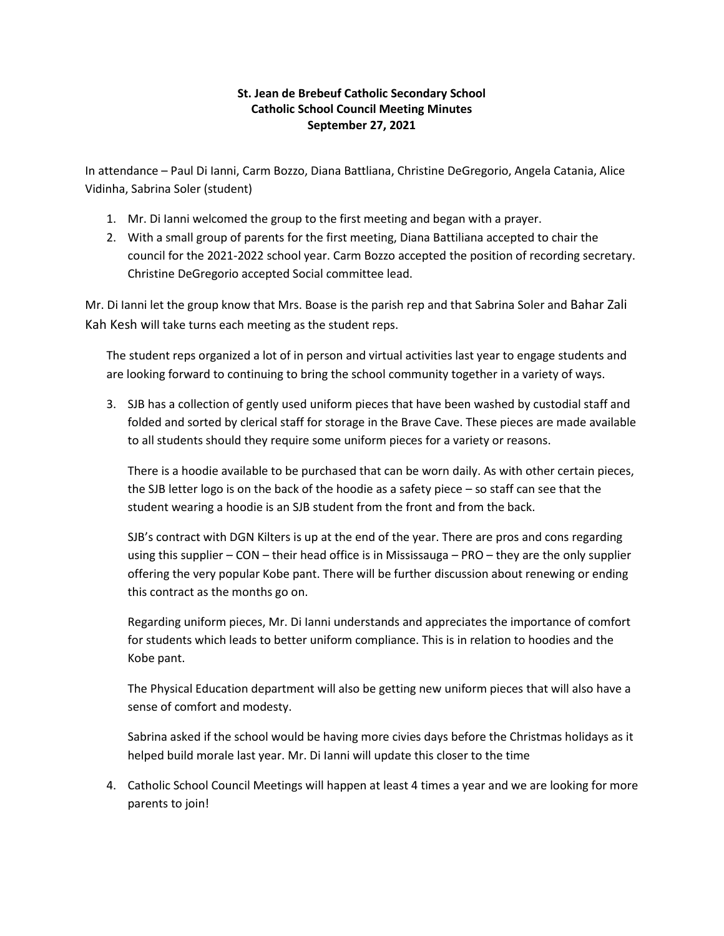## **St. Jean de Brebeuf Catholic Secondary School Catholic School Council Meeting Minutes September 27, 2021**

In attendance – Paul Di Ianni, Carm Bozzo, Diana Battliana, Christine DeGregorio, Angela Catania, Alice Vidinha, Sabrina Soler (student)

- 1. Mr. Di Ianni welcomed the group to the first meeting and began with a prayer.
- 2. With a small group of parents for the first meeting, Diana Battiliana accepted to chair the council for the 2021-2022 school year. Carm Bozzo accepted the position of recording secretary. Christine DeGregorio accepted Social committee lead.

Mr. Di Ianni let the group know that Mrs. Boase is the parish rep and that Sabrina Soler and Bahar Zali Kah Kesh will take turns each meeting as the student reps.

The student reps organized a lot of in person and virtual activities last year to engage students and are looking forward to continuing to bring the school community together in a variety of ways.

3. SJB has a collection of gently used uniform pieces that have been washed by custodial staff and folded and sorted by clerical staff for storage in the Brave Cave. These pieces are made available to all students should they require some uniform pieces for a variety or reasons.

There is a hoodie available to be purchased that can be worn daily. As with other certain pieces, the SJB letter logo is on the back of the hoodie as a safety piece – so staff can see that the student wearing a hoodie is an SJB student from the front and from the back.

SJB's contract with DGN Kilters is up at the end of the year. There are pros and cons regarding using this supplier – CON – their head office is in Mississauga – PRO – they are the only supplier offering the very popular Kobe pant. There will be further discussion about renewing or ending this contract as the months go on.

Regarding uniform pieces, Mr. Di Ianni understands and appreciates the importance of comfort for students which leads to better uniform compliance. This is in relation to hoodies and the Kobe pant.

The Physical Education department will also be getting new uniform pieces that will also have a sense of comfort and modesty.

Sabrina asked if the school would be having more civies days before the Christmas holidays as it helped build morale last year. Mr. Di Ianni will update this closer to the time

4. Catholic School Council Meetings will happen at least 4 times a year and we are looking for more parents to join!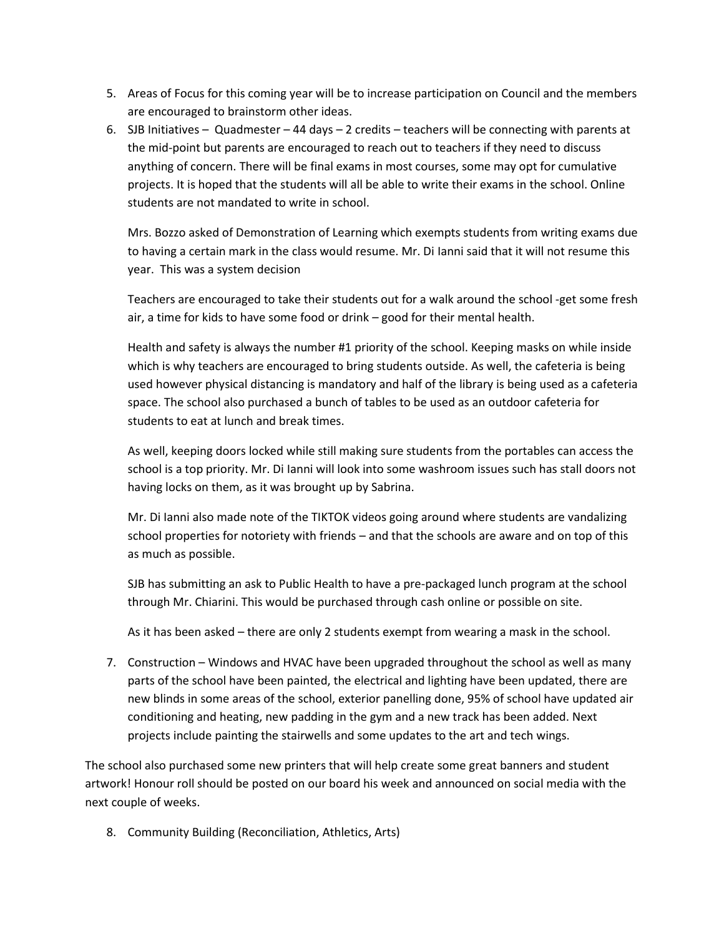- 5. Areas of Focus for this coming year will be to increase participation on Council and the members are encouraged to brainstorm other ideas.
- 6. SJB Initiatives Quadmester 44 days 2 credits teachers will be connecting with parents at the mid-point but parents are encouraged to reach out to teachers if they need to discuss anything of concern. There will be final exams in most courses, some may opt for cumulative projects. It is hoped that the students will all be able to write their exams in the school. Online students are not mandated to write in school.

Mrs. Bozzo asked of Demonstration of Learning which exempts students from writing exams due to having a certain mark in the class would resume. Mr. Di Ianni said that it will not resume this year. This was a system decision

Teachers are encouraged to take their students out for a walk around the school -get some fresh air, a time for kids to have some food or drink – good for their mental health.

Health and safety is always the number #1 priority of the school. Keeping masks on while inside which is why teachers are encouraged to bring students outside. As well, the cafeteria is being used however physical distancing is mandatory and half of the library is being used as a cafeteria space. The school also purchased a bunch of tables to be used as an outdoor cafeteria for students to eat at lunch and break times.

As well, keeping doors locked while still making sure students from the portables can access the school is a top priority. Mr. Di Ianni will look into some washroom issues such has stall doors not having locks on them, as it was brought up by Sabrina.

Mr. Di Ianni also made note of the TIKTOK videos going around where students are vandalizing school properties for notoriety with friends – and that the schools are aware and on top of this as much as possible.

SJB has submitting an ask to Public Health to have a pre-packaged lunch program at the school through Mr. Chiarini. This would be purchased through cash online or possible on site.

As it has been asked – there are only 2 students exempt from wearing a mask in the school.

7. Construction – Windows and HVAC have been upgraded throughout the school as well as many parts of the school have been painted, the electrical and lighting have been updated, there are new blinds in some areas of the school, exterior panelling done, 95% of school have updated air conditioning and heating, new padding in the gym and a new track has been added. Next projects include painting the stairwells and some updates to the art and tech wings.

The school also purchased some new printers that will help create some great banners and student artwork! Honour roll should be posted on our board his week and announced on social media with the next couple of weeks.

8. Community Building (Reconciliation, Athletics, Arts)